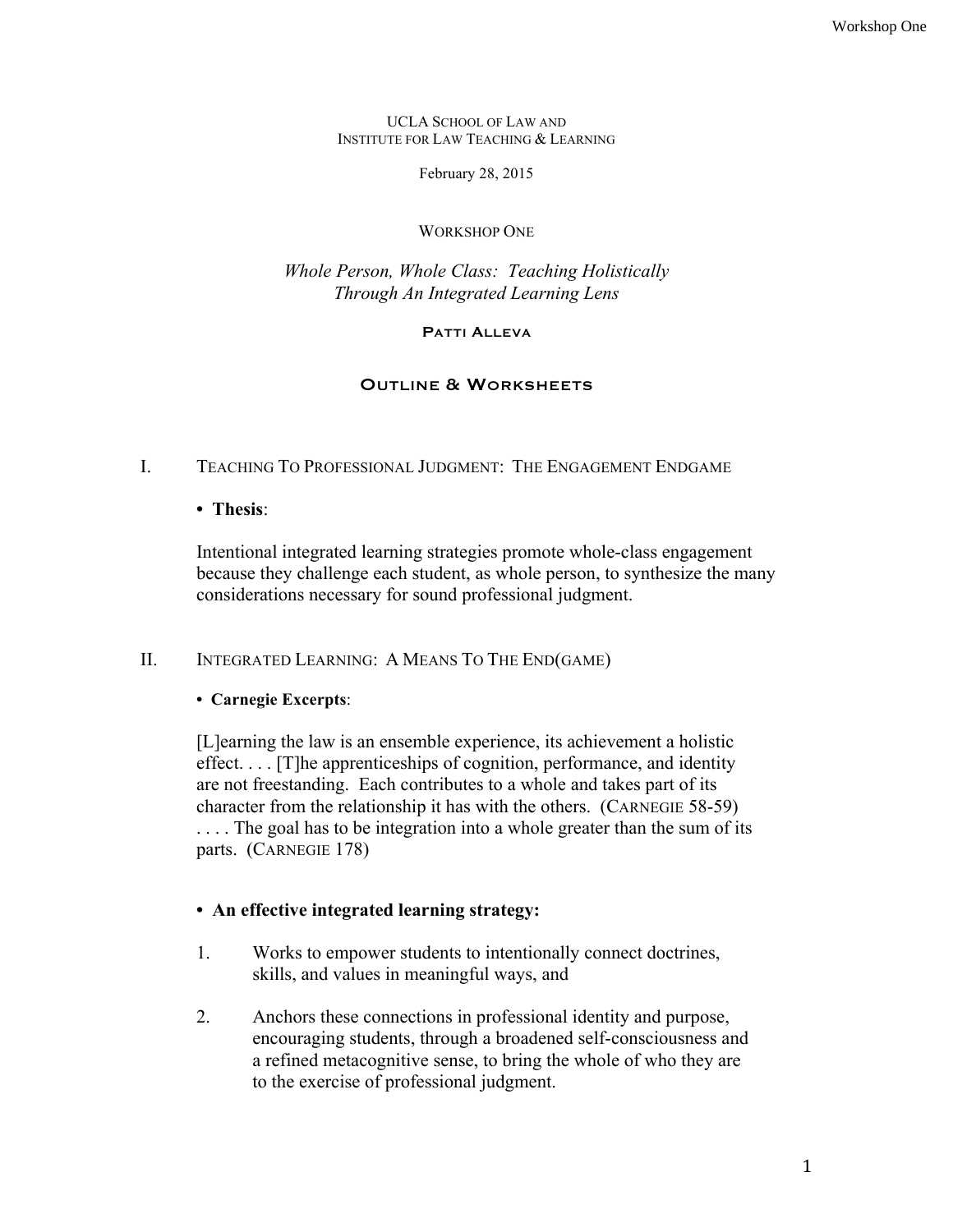UCLA SCHOOL OF LAW AND INSTITUTE FOR LAW TEACHING & LEARNING

February 28, 2015

#### WORKSHOP ONE

# *Whole Person, Whole Class: Teaching Holistically Through An Integrated Learning Lens*

#### PATTI ALLEVA

# OUTLINE & WORKSHEETS

# I. TEACHING TO PROFESSIONAL JUDGMENT: THE ENGAGEMENT ENDGAME

### **• Thesis**:

Intentional integrated learning strategies promote whole-class engagement because they challenge each student, as whole person, to synthesize the many considerations necessary for sound professional judgment.

# II. INTEGRATED LEARNING: A MEANS TO THE END(GAME)

# **• Carnegie Excerpts**:

[L]earning the law is an ensemble experience, its achievement a holistic effect. . . . [T]he apprenticeships of cognition, performance, and identity are not freestanding. Each contributes to a whole and takes part of its character from the relationship it has with the others. (CARNEGIE 58-59) .... The goal has to be integration into a whole greater than the sum of its parts. (CARNEGIE 178)

# **• An effective integrated learning strategy:**

- 1. Works to empower students to intentionally connect doctrines, skills, and values in meaningful ways, and
- 2. Anchors these connections in professional identity and purpose, encouraging students, through a broadened self-consciousness and a refined metacognitive sense, to bring the whole of who they are to the exercise of professional judgment.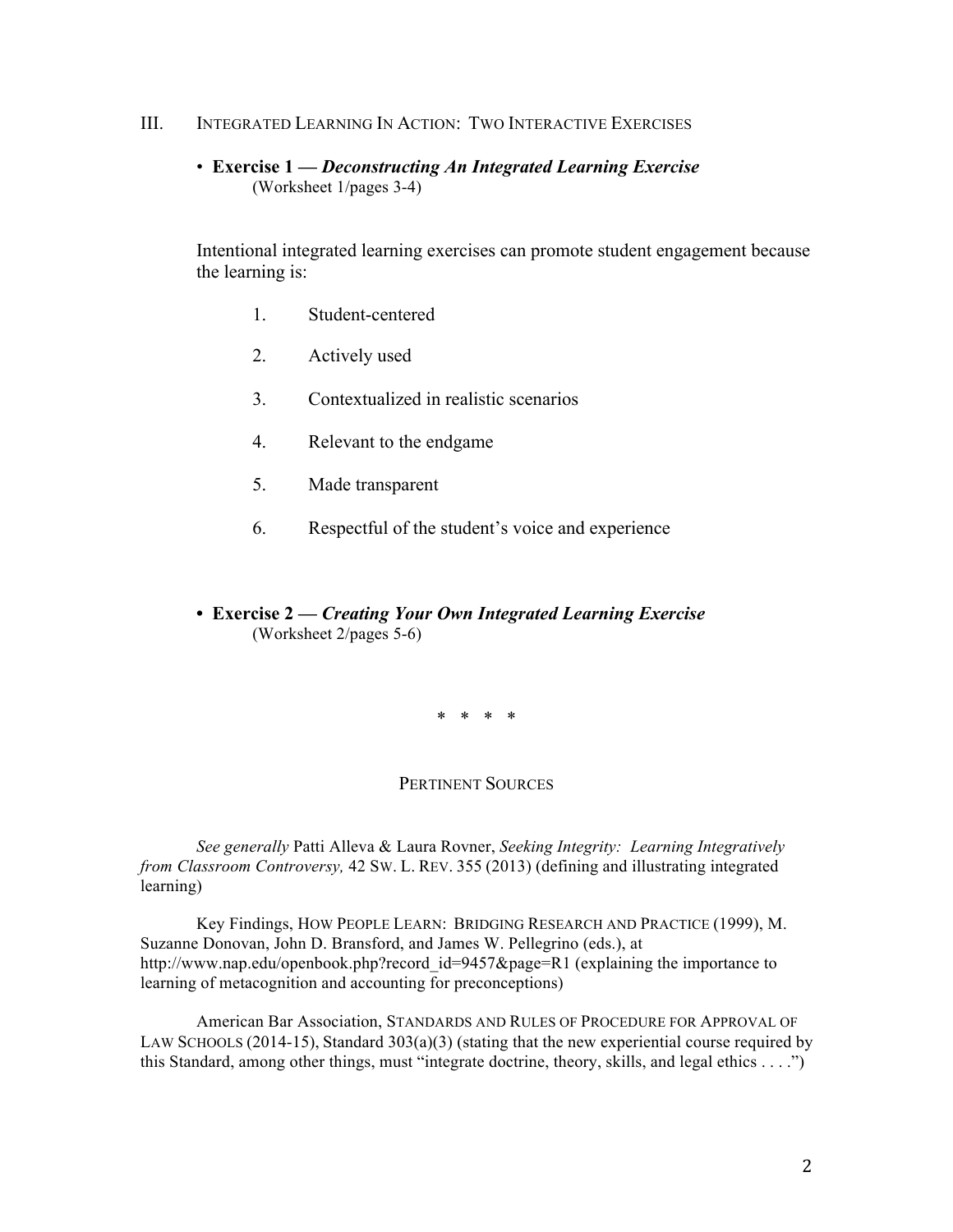#### III. INTEGRATED LEARNING IN ACTION: TWO INTERACTIVE EXERCISES

• **Exercise 1 —** *Deconstructing An Integrated Learning Exercise* (Worksheet 1/pages 3-4)

Intentional integrated learning exercises can promote student engagement because the learning is:

- 1. Student-centered
- 2. Actively used
- 3. Contextualized in realistic scenarios
- 4. Relevant to the endgame
- 5. Made transparent
- 6. Respectful of the student's voice and experience
- **Exercise 2 —** *Creating Your Own Integrated Learning Exercise* (Worksheet 2/pages 5-6)

\* \* \* \*

### PERTINENT SOURCES

*See generally* Patti Alleva & Laura Rovner, *Seeking Integrity: Learning Integratively from Classroom Controversy,* 42 SW. L. REV. 355 (2013) (defining and illustrating integrated learning)

Key Findings, HOW PEOPLE LEARN: BRIDGING RESEARCH AND PRACTICE (1999), M. Suzanne Donovan, John D. Bransford, and James W. Pellegrino (eds.), at http://www.nap.edu/openbook.php?record\_id=9457&page=R1 (explaining the importance to learning of metacognition and accounting for preconceptions)

American Bar Association, STANDARDS AND RULES OF PROCEDURE FOR APPROVAL OF LAW SCHOOLS (2014-15), Standard  $303(a)(3)$  (stating that the new experiential course required by this Standard, among other things, must "integrate doctrine, theory, skills, and legal ethics . . . .")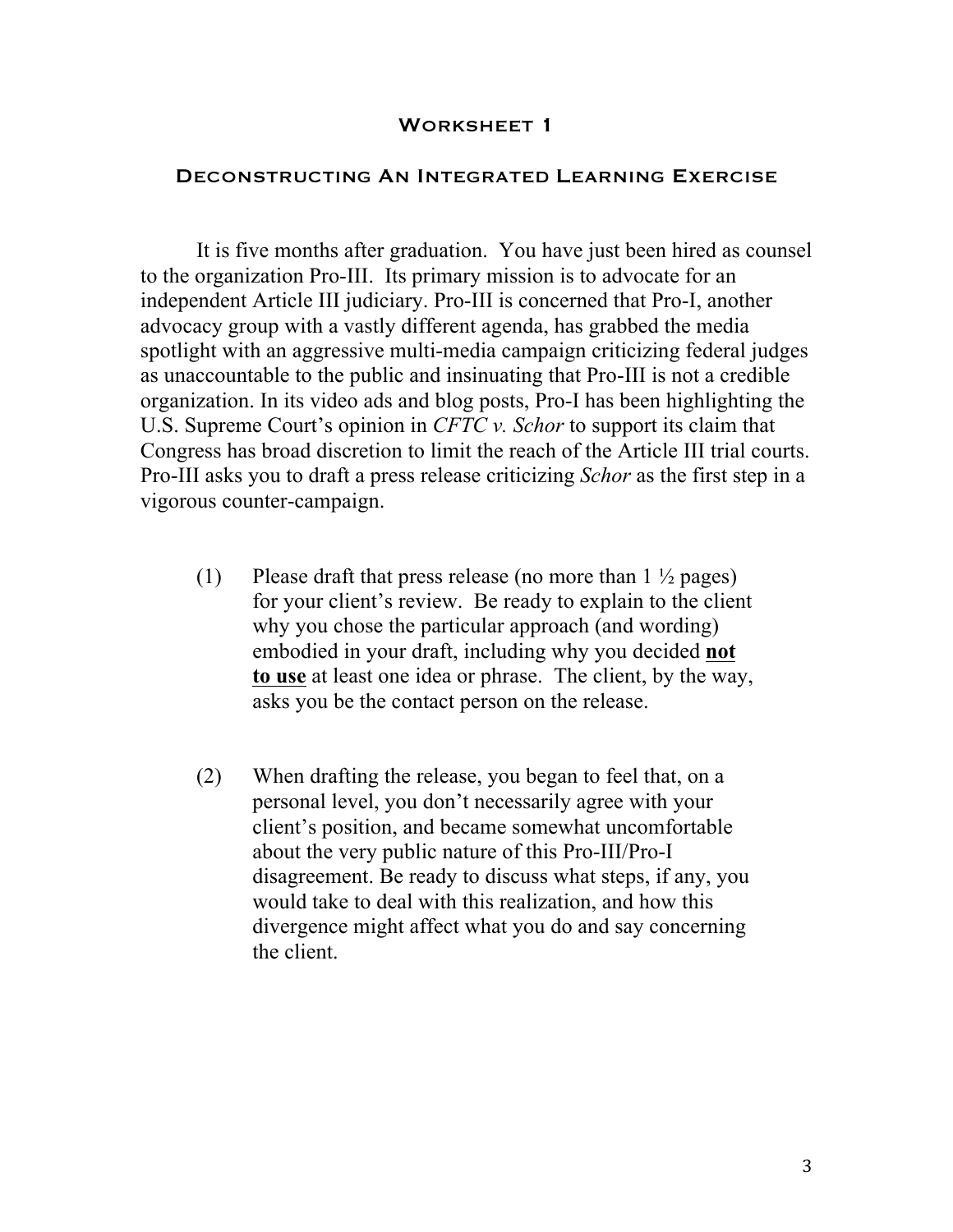# DECONSTRUCTING AN INTEGRATED LEARNING EXERCISE

It is five months after graduation. You have just been hired as counsel to the organization Pro-III. Its primary mission is to advocate for an independent Article III judiciary. Pro-III is concerned that Pro-I, another advocacy group with a vastly different agenda, has grabbed the media spotlight with an aggressive multi-media campaign criticizing federal judges as unaccountable to the public and insinuating that Pro-III is not a credible organization. In its video ads and blog posts, Pro-I has been highlighting the U.S. Supreme Court's opinion in *CFTC v. Schor* to support its claim that Congress has broad discretion to limit the reach of the Article III trial courts. Pro-III asks you to draft a press release criticizing *Schor* as the first step in a vigorous counter-campaign.

- (1) Please draft that press release (no more than  $1\frac{1}{2}$  pages) for your client's review. Be ready to explain to the client why you chose the particular approach (and wording) embodied in your draft, including why you decided **not to use** at least one idea or phrase. The client, by the way, asks you be the contact person on the release.
- (2) When drafting the release, you began to feel that, on a personal level, you don't necessarily agree with your client's position, and became somewhat uncomfortable about the very public nature of this Pro-III/Pro-I disagreement. Be ready to discuss what steps, if any, you would take to deal with this realization, and how this divergence might affect what you do and say concerning the client.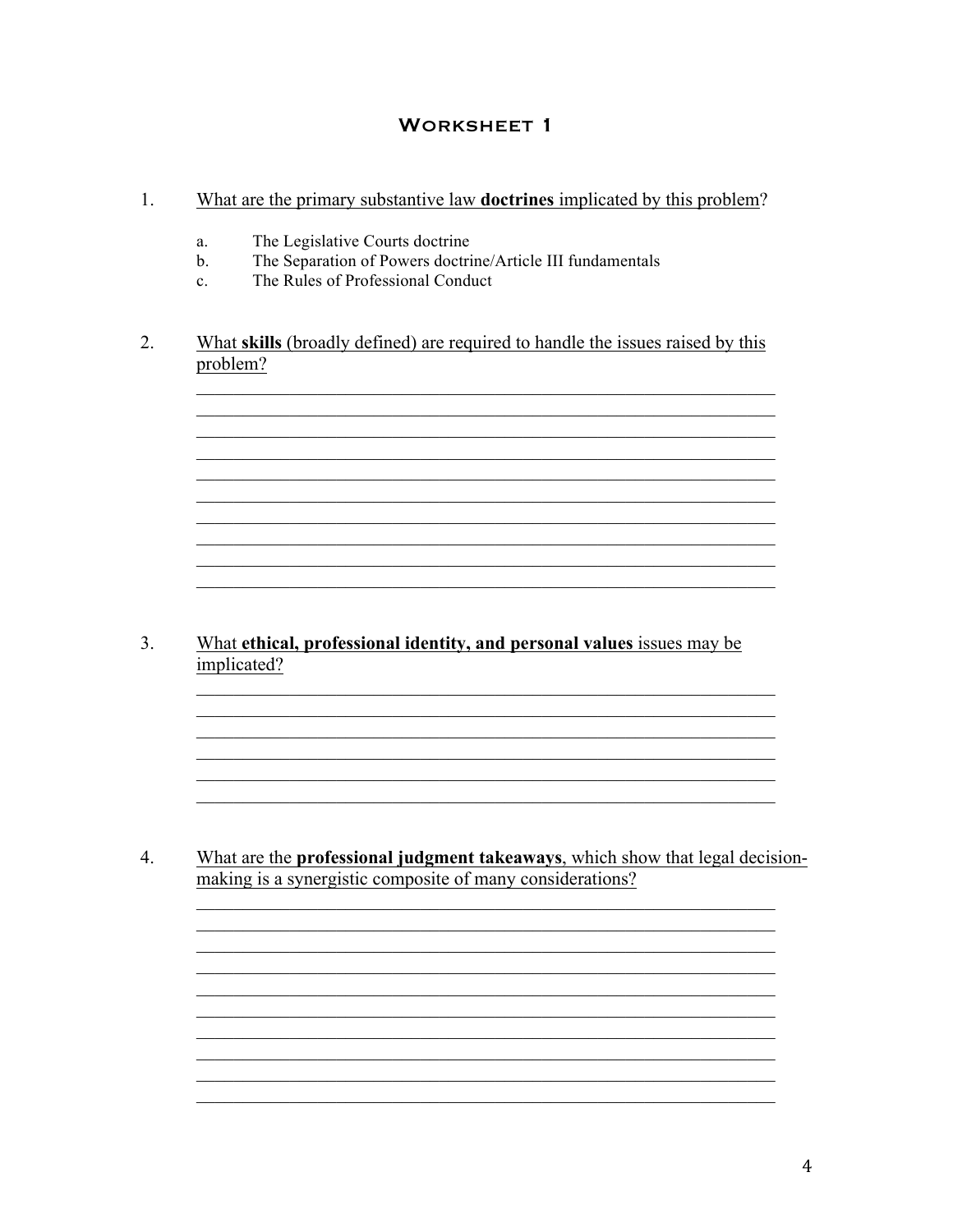#### $1.$ What are the primary substantive law **doctrines** implicated by this problem?

- The Legislative Courts doctrine a.
- The Separation of Powers doctrine/Article III fundamentals  $h$
- The Rules of Professional Conduct  $\mathbf{c}$
- 2. What skills (broadly defined) are required to handle the issues raised by this problem?

<u> 1989 - Johann Stoff, deutscher Stoff, der Stoff, der Stoff, der Stoff, der Stoff, der Stoff, der Stoff, der S</u> <u> 1989 - Johann Stoff, deutscher Stoff, der Stoff, der Stoff, der Stoff, der Stoff, der Stoff, der Stoff, der S</u>

<u> 1989 - Johann Stoff, amerikansk politiker (d. 1989)</u>

<u> 1989 - Johann Stoff, amerikansk politiker (d. 1989)</u>

 $3<sub>1</sub>$ What ethical, professional identity, and personal values issues may be implicated?

 $\overline{4}$ . What are the **professional judgment takeaways**, which show that legal decisionmaking is a synergistic composite of many considerations?

> <u> 1989 - Johann Stoff, deutscher Stoff, der Stoff, der Stoff, der Stoff, der Stoff, der Stoff, der Stoff, der S</u> <u> 1989 - Johann Stoff, deutscher Stoff, der Stoff, der Stoff, der Stoff, der Stoff, der Stoff, der Stoff, der S</u> <u> 1989 - Johann Stoff, deutscher Stoffen und der Stoffen und der Stoffen und der Stoffen und der Stoffen und der</u>

<u> 1989 - Johann Stoff, amerikansk politiker (d. 1989)</u>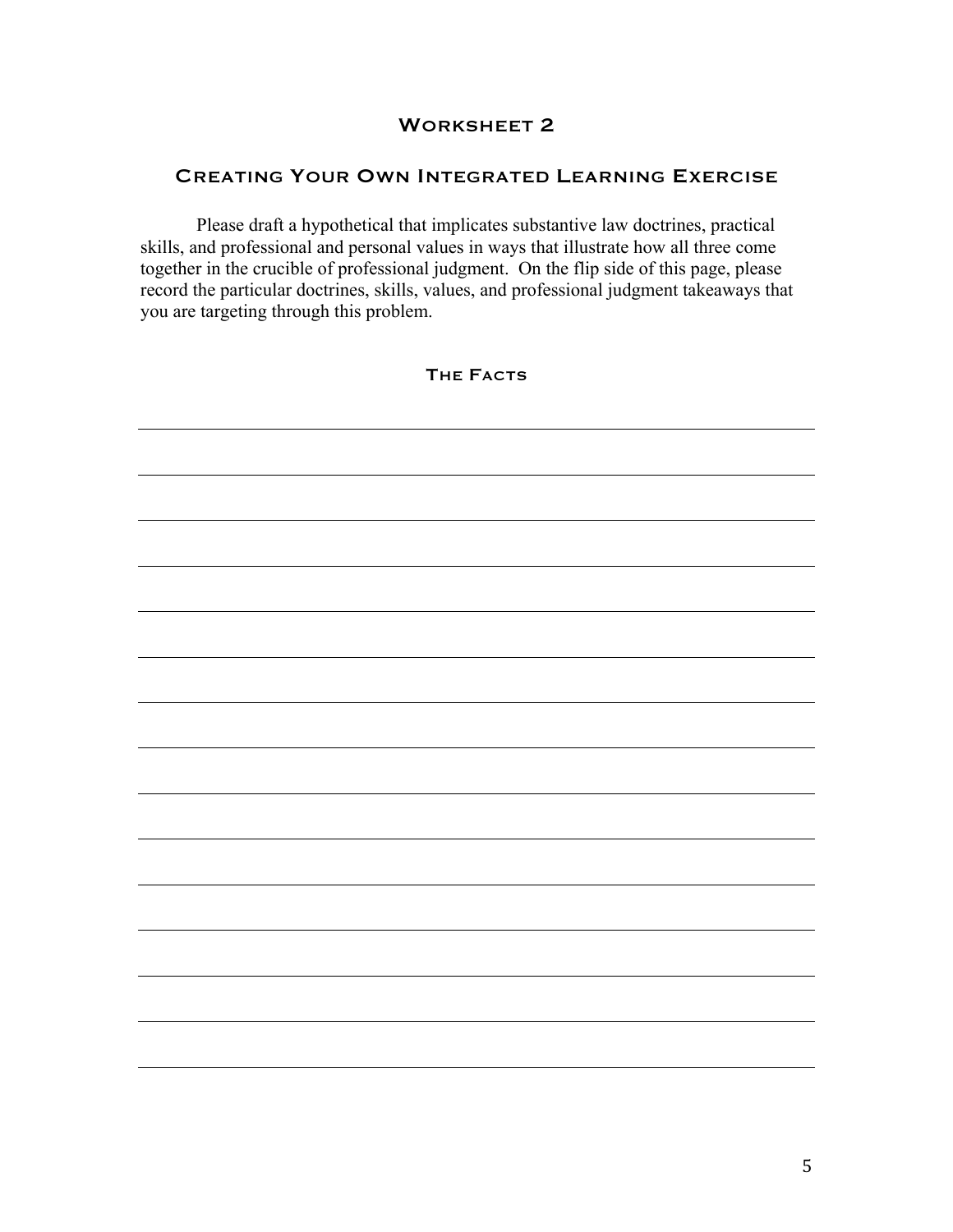# CREATING YOUR OWN INTEGRATED LEARNING EXERCISE

Please draft a hypothetical that implicates substantive law doctrines, practical skills, and professional and personal values in ways that illustrate how all three come together in the crucible of professional judgment. On the flip side of this page, please record the particular doctrines, skills, values, and professional judgment takeaways that you are targeting through this problem.

THE FACTS